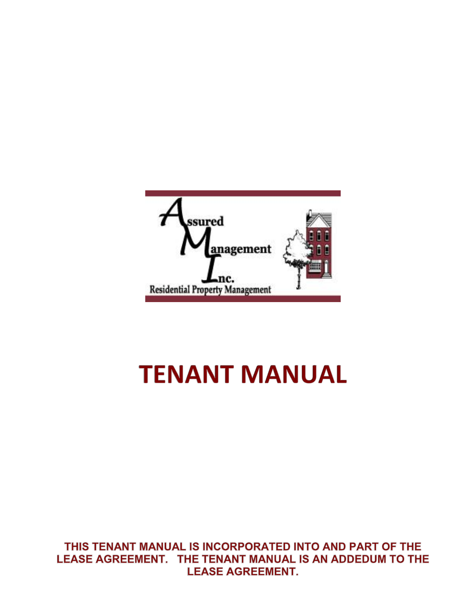

# **TENANT MANUAL**

THIS TENANT MANUAL IS INCORPORATED INTO AND PART OF THE LEASE AGREEMENT. THE TENANT MANUAL IS AN ADDEDUM TO THE **LEASE AGREEMENT.**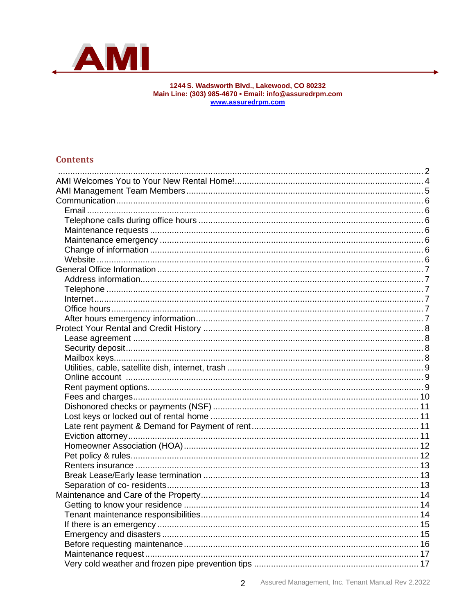

# 1244 S. Wadsworth Blvd., Lakewood, CO 80232<br>Main Line: (303) 985-4670 • Email: info@assuredrpm.com<br>www.assuredrpm.com

## <span id="page-1-0"></span>**Contents**

 $\overline{2}$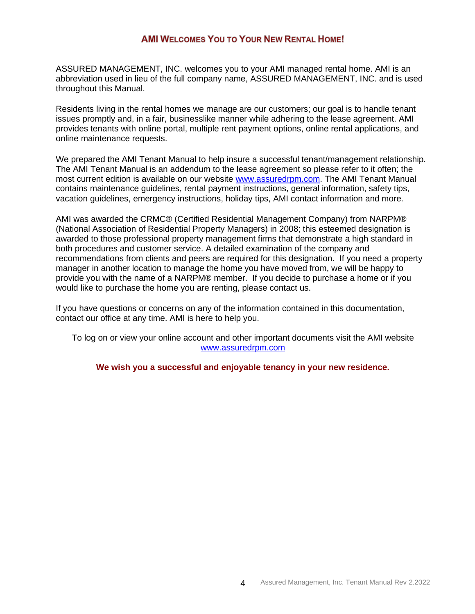## **AMI WELCOMES YOU TO YOUR NEW RENTAL HOME!**

<span id="page-3-0"></span>ASSURED MANAGEMENT, INC. welcomes you to your AMI managed rental home. AMI is an abbreviation used in lieu of the full company name, ASSURED MANAGEMENT, INC. and is used throughout this Manual.

Residents living in the rental homes we manage are our customers; our goal is to handle tenant issues promptly and, in a fair, businesslike manner while adhering to the lease agreement. AMI provides tenants with online portal, multiple rent payment options, online rental applications, and online maintenance requests.

We prepared the AMI Tenant Manual to help insure a successful tenant/management relationship. The AMI Tenant Manual is an addendum to the lease agreement so please refer to it often; the most current edition is available on our website [www.assuredrpm.com.](http://www.assuredrpm.com/) The AMI Tenant Manual contains maintenance guidelines, rental payment instructions, general information, safety tips, vacation guidelines, emergency instructions, holiday tips, AMI contact information and more.

AMI was awarded the CRMC® (Certified Residential Management Company) from NARPM® (National Association of Residential Property Managers) in 2008; this esteemed designation is awarded to those professional property management firms that demonstrate a high standard in both procedures and customer service. A detailed examination of the company and recommendations from clients and peers are required for this designation. If you need a property manager in another location to manage the home you have moved from, we will be happy to provide you with the name of a NARPM® member. If you decide to purchase a home or if you would like to purchase the home you are renting, please contact us.

If you have questions or concerns on any of the information contained in this documentation, contact our office at any time. AMI is here to help you.

To log on or view your online account and other important documents visit the AMI website [www.assuredrpm.com](http://www.assuredrpm.com/)

**We wish you a successful and enjoyable tenancy in your new residence.**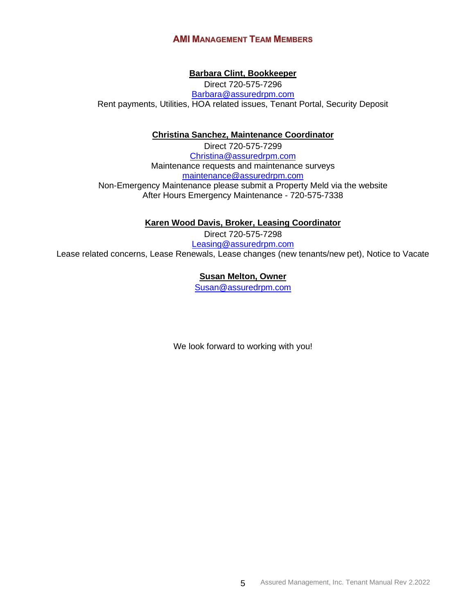## **AMI MANAGEMENT TEAM MEMBERS**

### **Barbara Clint, Bookkeeper**

<span id="page-4-0"></span>Direct 720-575-7296 [Barbara@assuredrpm.com](mailto:Barbara@assuredrpm.com) Rent payments, Utilities, HOA related issues, Tenant Portal, Security Deposit

#### **Christina Sanchez, Maintenance Coordinator**

Direct 720-575-7299 [Christina@assuredrpm.com](mailto:Christina@assuredrpm.com) Maintenance requests and maintenance surveys [maintenance@assuredrpm.com](mailto:maintenance@assuredrpm.com) Non-Emergency Maintenance please submit a Property Meld via the website After Hours Emergency Maintenance - 720-575-7338

**Karen Wood Davis, Broker, Leasing Coordinator**

Direct 720-575-7298 [Leasing@assuredrpm.com](mailto:Leasing@assuredrpm.com) Lease related concerns, Lease Renewals, Lease changes (new tenants/new pet), Notice to Vacate

#### **Susan Melton, Owner**

[Susan@assuredrpm.com](mailto:Susan@assuredrpm.com)

We look forward to working with you!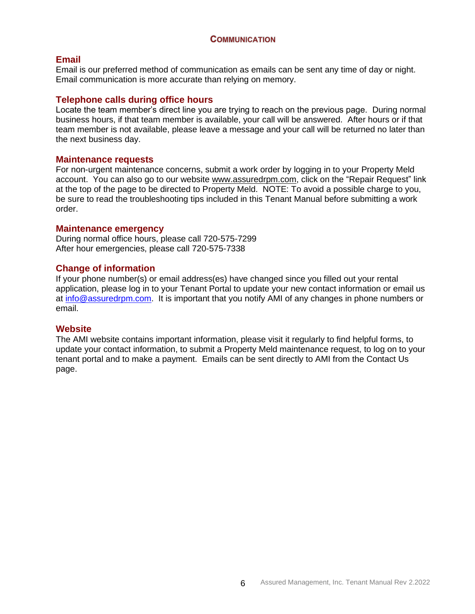#### **COMMUNICATION**

#### <span id="page-5-1"></span><span id="page-5-0"></span>**Email**

Email is our preferred method of communication as emails can be sent any time of day or night. Email communication is more accurate than relying on memory.

#### <span id="page-5-2"></span>**Telephone calls during office hours**

Locate the team member's direct line you are trying to reach on the previous page. During normal business hours, if that team member is available, your call will be answered. After hours or if that team member is not available, please leave a message and your call will be returned no later than the next business day.

#### <span id="page-5-3"></span>**Maintenance requests**

For non-urgent maintenance concerns, submit a work order by logging in to your Property Meld account. You can also go to our website [www.assuredrpm.com,](file://///ami-p01-l01.ami.local/network/Documents/Tenant/Tenant%20Manual/www.assuredrpm.com) click on the "Repair Request" link at the top of the page to be directed to Property Meld. NOTE: To avoid a possible charge to you, be sure to read the troubleshooting tips included in this Tenant Manual before submitting a work order.

#### <span id="page-5-4"></span>**Maintenance emergency**

During normal office hours, please call 720-575-7299 After hour emergencies, please call 720-575-7338

#### <span id="page-5-5"></span>**Change of information**

If your phone number(s) or email address(es) have changed since you filled out your rental application, please log in to your Tenant Portal to update your new contact information or email us at [info@assuredrpm.com.](mailto:info@assuredrpm.com) It is important that you notify AMI of any changes in phone numbers or email.

#### <span id="page-5-6"></span>**Website**

The AMI website contains important information, please visit it regularly to find helpful forms, to update your contact information, to submit a Property Meld maintenance request, to log on to your tenant portal and to make a payment. Emails can be sent directly to AMI from the Contact Us page.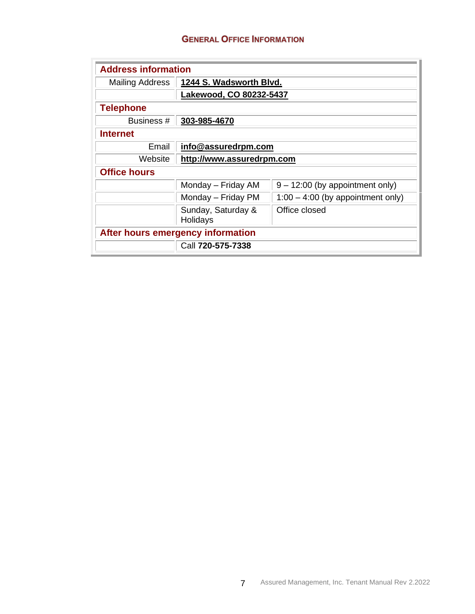## **GENERAL OFFICE INFORMATION**

<span id="page-6-5"></span><span id="page-6-4"></span><span id="page-6-3"></span><span id="page-6-2"></span><span id="page-6-1"></span><span id="page-6-0"></span>

| <b>Address information</b>        |                                |                                     |  |  |
|-----------------------------------|--------------------------------|-------------------------------------|--|--|
| <b>Mailing Address</b>            | 1244 S. Wadsworth Blvd.        |                                     |  |  |
|                                   | Lakewood, CO 80232-5437        |                                     |  |  |
| <b>Telephone</b>                  |                                |                                     |  |  |
| Business #                        | 303-985-4670                   |                                     |  |  |
| <b>Internet</b>                   |                                |                                     |  |  |
| Email                             | info@assuredrpm.com            |                                     |  |  |
| Website                           | http://www.assuredrpm.com      |                                     |  |  |
| <b>Office hours</b>               |                                |                                     |  |  |
|                                   | Monday - Friday AM             | $9 - 12:00$ (by appointment only)   |  |  |
|                                   | Monday - Friday PM             | $1:00 - 4:00$ (by appointment only) |  |  |
|                                   | Sunday, Saturday &<br>Holidays | Office closed                       |  |  |
| After hours emergency information |                                |                                     |  |  |
|                                   | Call 720-575-7338              |                                     |  |  |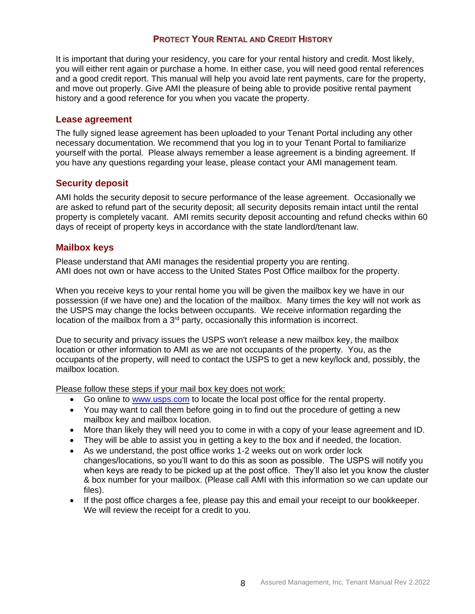## **PROTECT YOUR RENTAL AND CREDIT HISTORY**

<span id="page-7-0"></span>It is important that during your residency, you care for your rental history and credit. Most likely, you will either rent again or purchase a home. In either case, you will need good rental references and a good credit report. This manual will help you avoid late rent payments, care for the property, and move out properly. Give AMI the pleasure of being able to provide positive rental payment history and a good reference for you when you vacate the property.

#### <span id="page-7-1"></span>**Lease agreement**

The fully signed lease agreement has been uploaded to your Tenant Portal including any other necessary documentation. We recommend that you log in to your Tenant Portal to familiarize yourself with the portal. Please always remember a lease agreement is a binding agreement. If you have any questions regarding your lease, please contact your AMI management team.

## <span id="page-7-2"></span>**Security deposit**

AMI holds the security deposit to secure performance of the lease agreement. Occasionally we are asked to refund part of the security deposit; all security deposits remain intact until the rental property is completely vacant. AMI remits security deposit accounting and refund checks within 60 days of receipt of property keys in accordance with the state landlord/tenant law.

#### <span id="page-7-3"></span>**Mailbox keys**

Please understand that AMI manages the residential property you are renting. AMI does not own or have access to the United States Post Office mailbox for the property.

When you receive keys to your rental home you will be given the mailbox key we have in our possession (if we have one) and the location of the mailbox. Many times the key will not work as the USPS may change the locks between occupants. We receive information regarding the location of the mailbox from a 3<sup>rd</sup> party, occasionally this information is incorrect.

Due to security and privacy issues the USPS won't release a new mailbox key, the mailbox location or other information to AMI as we are not occupants of the property. You, as the occupants of the property, will need to contact the USPS to get a new key/lock and, possibly, the mailbox location.

Please follow these steps if your mail box key does not work:

- Go online to [www.usps.com](http://www.usps.com/) to locate the local post office for the rental property.
- You may want to call them before going in to find out the procedure of getting a new mailbox key and mailbox location.
- More than likely they will need you to come in with a copy of your lease agreement and ID.
- They will be able to assist you in getting a key to the box and if needed, the location.
- As we understand, the post office works 1-2 weeks out on work order lock changes/locations, so you'll want to do this as soon as possible. The USPS will notify you when keys are ready to be picked up at the post office. They'll also let you know the cluster & box number for your mailbox. (Please call AMI with this information so we can update our files).
- If the post office charges a fee, please pay this and email your receipt to our bookkeeper. We will review the receipt for a credit to you.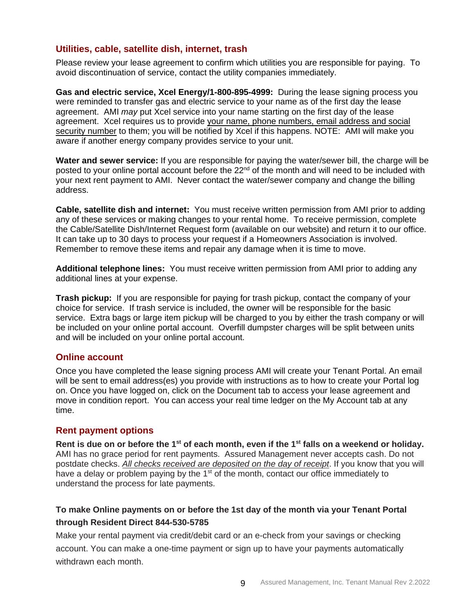## <span id="page-8-0"></span>**Utilities, cable, satellite dish, internet, trash**

Please review your lease agreement to confirm which utilities you are responsible for paying. To avoid discontinuation of service, contact the utility companies immediately.

**Gas and electric service, Xcel Energy/1-800-895-4999:** During the lease signing process you were reminded to transfer gas and electric service to your name as of the first day the lease agreement. AMI *may* put Xcel service into your name starting on the first day of the lease agreement. Xcel requires us to provide your name, phone numbers, email address and social security number to them; you will be notified by Xcel if this happens. NOTE: AMI will make you aware if another energy company provides service to your unit.

**Water and sewer service:** If you are responsible for paying the water/sewer bill, the charge will be posted to your online portal account before the 22<sup>nd</sup> of the month and will need to be included with your next rent payment to AMI. Never contact the water/sewer company and change the billing address.

**Cable, satellite dish and internet:** You must receive written permission from AMI prior to adding any of these services or making changes to your rental home. To receive permission, complete the Cable/Satellite Dish/Internet Request form (available on our website) and return it to our office. It can take up to 30 days to process your request if a Homeowners Association is involved. Remember to remove these items and repair any damage when it is time to move.

**Additional telephone lines:** You must receive written permission from AMI prior to adding any additional lines at your expense.

**Trash pickup:** If you are responsible for paying for trash pickup, contact the company of your choice for service. If trash service is included, the owner will be responsible for the basic service. Extra bags or large item pickup will be charged to you by either the trash company or will be included on your online portal account. Overfill dumpster charges will be split between units and will be included on your online portal account.

#### <span id="page-8-1"></span>**Online account**

Once you have completed the lease signing process AMI will create your Tenant Portal. An email will be sent to email address(es) you provide with instructions as to how to create your Portal log on. Once you have logged on, click on the Document tab to access your lease agreement and move in condition report. You can access your real time ledger on the My Account tab at any time.

#### <span id="page-8-2"></span>**Rent payment options**

Rent is due on or before the 1<sup>st</sup> of each month, even if the 1<sup>st</sup> falls on a weekend or holiday. AMI has no grace period for rent payments. Assured Management never accepts cash. Do not postdate checks. *All checks received are deposited on the day of receipt*. If you know that you will have a delay or problem paying by the 1<sup>st</sup> of the month, contact our office immediately to understand the process for late payments.

# **To make Online payments on or before the 1st day of the month via your Tenant Portal through Resident Direct 844-530-5785**

Make your rental payment via credit/debit card or an e-check from your savings or checking account. You can make a one-time payment or sign up to have your payments automatically withdrawn each month.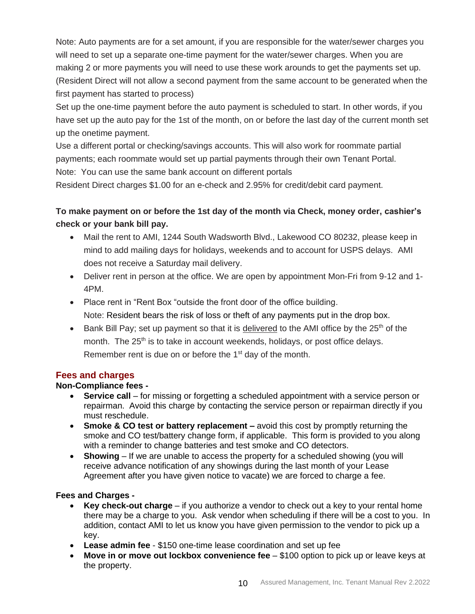Note: Auto payments are for a set amount, if you are responsible for the water/sewer charges you will need to set up a separate one-time payment for the water/sewer charges. When you are making 2 or more payments you will need to use these work arounds to get the payments set up. (Resident Direct will not allow a second payment from the same account to be generated when the first payment has started to process)

Set up the one-time payment before the auto payment is scheduled to start. In other words, if you have set up the auto pay for the 1st of the month, on or before the last day of the current month set up the onetime payment.

Use a different portal or checking/savings accounts. This will also work for roommate partial payments; each roommate would set up partial payments through their own Tenant Portal. Note: You can use the same bank account on different portals

Resident Direct charges \$1.00 for an e-check and 2.95% for credit/debit card payment.

# **To make payment on or before the 1st day of the month via Check, money order, cashier's check or your bank bill pay.**

- Mail the rent to AMI, 1244 South Wadsworth Blvd., Lakewood CO 80232, please keep in mind to add mailing days for holidays, weekends and to account for USPS delays. AMI does not receive a Saturday mail delivery.
- Deliver rent in person at the office. We are open by appointment Mon-Fri from 9-12 and 1-4PM.
- Place rent in "Rent Box "outside the front door of the office building. Note: Resident bears the risk of loss or theft of any payments put in the drop box.
- Bank Bill Pay; set up payment so that it is delivered to the AMI office by the  $25<sup>th</sup>$  of the month. The 25<sup>th</sup> is to take in account weekends, holidays, or post office delays. Remember rent is due on or before the 1<sup>st</sup> day of the month.

## <span id="page-9-0"></span>**Fees and charges**

## **Non-Compliance fees -**

- **Service call** for missing or forgetting a scheduled appointment with a service person or repairman. Avoid this charge by contacting the service person or repairman directly if you must reschedule.
- **Smoke & CO test or battery replacement –** avoid this cost by promptly returning the smoke and CO test/battery change form, if applicable. This form is provided to you along with a reminder to change batteries and test smoke and CO detectors.
- **Showing** If we are unable to access the property for a scheduled showing (you will receive advance notification of any showings during the last month of your Lease Agreement after you have given notice to vacate) we are forced to charge a fee.

## **Fees and Charges -**

- **Key check-out charge** if you authorize a vendor to check out a key to your rental home there may be a charge to you. Ask vendor when scheduling if there will be a cost to you. In addition, contact AMI to let us know you have given permission to the vendor to pick up a key.
- **Lease admin fee**  \$150 one-time lease coordination and set up fee
- **Move in or move out lockbox convenience fee**  \$100 option to pick up or leave keys at the property.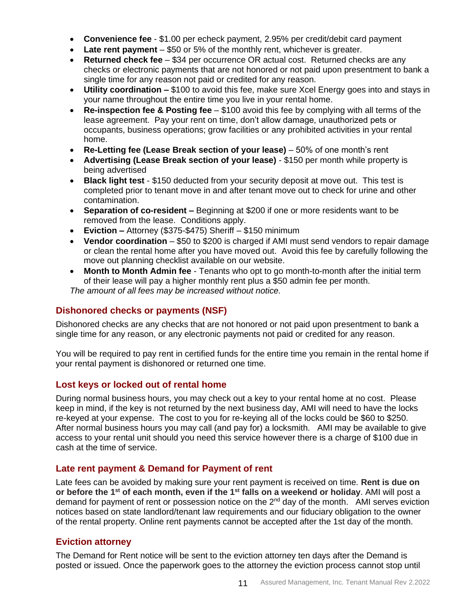- **Convenience fee**  \$1.00 per echeck payment, 2.95% per credit/debit card payment
- **Late rent payment** \$50 or 5% of the monthly rent, whichever is greater.
- **Returned check fee** \$34 per occurrence OR actual cost. Returned checks are any checks or electronic payments that are not honored or not paid upon presentment to bank a single time for any reason not paid or credited for any reason.
- **Utility coordination –** \$100 to avoid this fee, make sure Xcel Energy goes into and stays in your name throughout the entire time you live in your rental home.
- **Re-inspection fee & Posting fee**  \$100 avoid this fee by complying with all terms of the lease agreement. Pay your rent on time, don't allow damage, unauthorized pets or occupants, business operations; grow facilities or any prohibited activities in your rental home.
- **Re-Letting fee (Lease Break section of your lease)** 50% of one month's rent
- **Advertising (Lease Break section of your lease)**  \$150 per month while property is being advertised
- **Black light test** \$150 deducted from your security deposit at move out. This test is completed prior to tenant move in and after tenant move out to check for urine and other contamination.
- **Separation of co-resident –** Beginning at \$200 if one or more residents want to be removed from the lease. Conditions apply.
- **Eviction –** Attorney (\$375-\$475) Sheriff \$150 minimum
- **Vendor coordination**  \$50 to \$200 is charged if AMI must send vendors to repair damage or clean the rental home after you have moved out. Avoid this fee by carefully following the move out planning checklist available on our website.
- **Month to Month Admin fee**  Tenants who opt to go month-to-month after the initial term of their lease will pay a higher monthly rent plus a \$50 admin fee per month. *The amount of all fees may be increased without notice.*

# <span id="page-10-0"></span>**Dishonored checks or payments (NSF)**

Dishonored checks are any checks that are not honored or not paid upon presentment to bank a single time for any reason, or any electronic payments not paid or credited for any reason.

You will be required to pay rent in certified funds for the entire time you remain in the rental home if your rental payment is dishonored or returned one time.

## <span id="page-10-1"></span>**Lost keys or locked out of rental home**

During normal business hours, you may check out a key to your rental home at no cost. Please keep in mind, if the key is not returned by the next business day, AMI will need to have the locks re-keyed at your expense. The cost to you for re-keying all of the locks could be \$60 to \$250. After normal business hours you may call (and pay for) a locksmith. AMI may be available to give access to your rental unit should you need this service however there is a charge of \$100 due in cash at the time of service.

## <span id="page-10-2"></span>**Late rent payment & Demand for Payment of rent**

Late fees can be avoided by making sure your rent payment is received on time. **Rent is due on or before the 1 st of each month, even if the 1st falls on a weekend or holiday**. AMI will post a demand for payment of rent or possession notice on the  $2<sup>nd</sup>$  day of the month. AMI serves eviction notices based on state landlord/tenant law requirements and our fiduciary obligation to the owner of the rental property. Online rent payments cannot be accepted after the 1st day of the month.

## <span id="page-10-3"></span>**Eviction attorney**

The Demand for Rent notice will be sent to the eviction attorney ten days after the Demand is posted or issued. Once the paperwork goes to the attorney the eviction process cannot stop until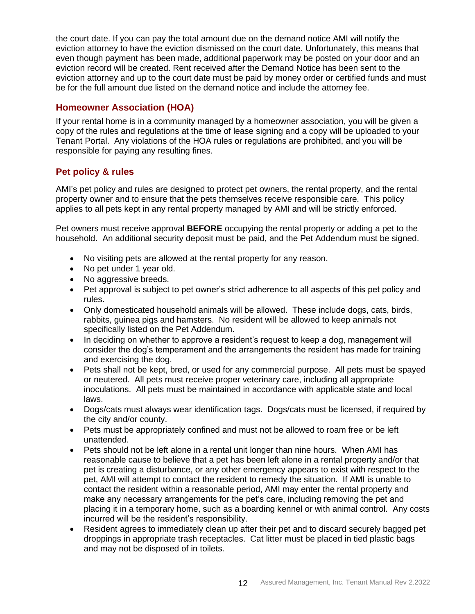the court date. If you can pay the total amount due on the demand notice AMI will notify the eviction attorney to have the eviction dismissed on the court date. Unfortunately, this means that even though payment has been made, additional paperwork may be posted on your door and an eviction record will be created. Rent received after the Demand Notice has been sent to the eviction attorney and up to the court date must be paid by money order or certified funds and must be for the full amount due listed on the demand notice and include the attorney fee.

## <span id="page-11-0"></span>**Homeowner Association (HOA)**

If your rental home is in a community managed by a homeowner association, you will be given a copy of the rules and regulations at the time of lease signing and a copy will be uploaded to your Tenant Portal. Any violations of the HOA rules or regulations are prohibited, and you will be responsible for paying any resulting fines.

# <span id="page-11-1"></span>**Pet policy & rules**

AMI's pet policy and rules are designed to protect pet owners, the rental property, and the rental property owner and to ensure that the pets themselves receive responsible care. This policy applies to all pets kept in any rental property managed by AMI and will be strictly enforced.

Pet owners must receive approval **BEFORE** occupying the rental property or adding a pet to the household. An additional security deposit must be paid, and the Pet Addendum must be signed.

- No visiting pets are allowed at the rental property for any reason.
- No pet under 1 year old.
- No aggressive breeds.
- Pet approval is subject to pet owner's strict adherence to all aspects of this pet policy and rules.
- Only domesticated household animals will be allowed. These include dogs, cats, birds, rabbits, guinea pigs and hamsters. No resident will be allowed to keep animals not specifically listed on the Pet Addendum.
- In deciding on whether to approve a resident's request to keep a dog, management will consider the dog's temperament and the arrangements the resident has made for training and exercising the dog.
- Pets shall not be kept, bred, or used for any commercial purpose. All pets must be spayed or neutered. All pets must receive proper veterinary care, including all appropriate inoculations. All pets must be maintained in accordance with applicable state and local laws.
- Dogs/cats must always wear identification tags. Dogs/cats must be licensed, if required by the city and/or county.
- Pets must be appropriately confined and must not be allowed to roam free or be left unattended.
- Pets should not be left alone in a rental unit longer than nine hours. When AMI has reasonable cause to believe that a pet has been left alone in a rental property and/or that pet is creating a disturbance, or any other emergency appears to exist with respect to the pet, AMI will attempt to contact the resident to remedy the situation. If AMI is unable to contact the resident within a reasonable period, AMI may enter the rental property and make any necessary arrangements for the pet's care, including removing the pet and placing it in a temporary home, such as a boarding kennel or with animal control. Any costs incurred will be the resident's responsibility.
- Resident agrees to immediately clean up after their pet and to discard securely bagged pet droppings in appropriate trash receptacles. Cat litter must be placed in tied plastic bags and may not be disposed of in toilets.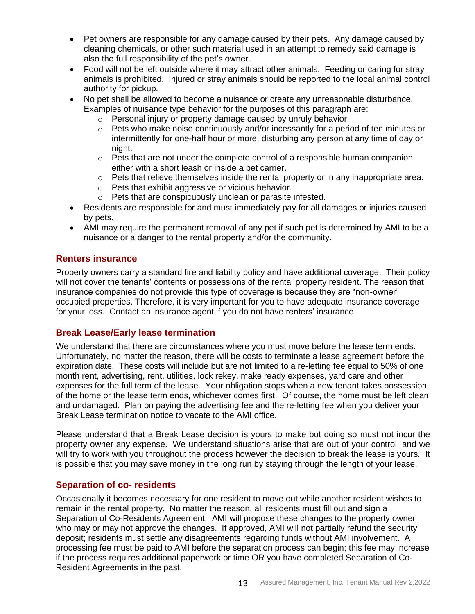- Pet owners are responsible for any damage caused by their pets. Any damage caused by cleaning chemicals, or other such material used in an attempt to remedy said damage is also the full responsibility of the pet's owner.
- Food will not be left outside where it may attract other animals. Feeding or caring for stray animals is prohibited. Injured or stray animals should be reported to the local animal control authority for pickup.
- No pet shall be allowed to become a nuisance or create any unreasonable disturbance. Examples of nuisance type behavior for the purposes of this paragraph are:
	- o Personal injury or property damage caused by unruly behavior.
	- $\circ$  Pets who make noise continuously and/or incessantly for a period of ten minutes or intermittently for one-half hour or more, disturbing any person at any time of day or night.
	- $\circ$  Pets that are not under the complete control of a responsible human companion either with a short leash or inside a pet carrier.
	- $\circ$  Pets that relieve themselves inside the rental property or in any inappropriate area.
	- o Pets that exhibit aggressive or vicious behavior.
	- o Pets that are conspicuously unclean or parasite infested.
- Residents are responsible for and must immediately pay for all damages or injuries caused by pets.
- AMI may require the permanent removal of any pet if such pet is determined by AMI to be a nuisance or a danger to the rental property and/or the community.

## <span id="page-12-0"></span>**Renters insurance**

Property owners carry a standard fire and liability policy and have additional coverage. Their policy will not cover the tenants' contents or possessions of the rental property resident. The reason that insurance companies do not provide this type of coverage is because they are "non-owner" occupied properties. Therefore, it is very important for you to have adequate insurance coverage for your loss. Contact an insurance agent if you do not have renters' insurance.

## <span id="page-12-1"></span>**Break Lease/Early lease termination**

We understand that there are circumstances where you must move before the lease term ends. Unfortunately, no matter the reason, there will be costs to terminate a lease agreement before the expiration date. These costs will include but are not limited to a re-letting fee equal to 50% of one month rent, advertising, rent, utilities, lock rekey, make ready expenses, yard care and other expenses for the full term of the lease. Your obligation stops when a new tenant takes possession of the home or the lease term ends, whichever comes first. Of course, the home must be left clean and undamaged. Plan on paying the advertising fee and the re-letting fee when you deliver your Break Lease termination notice to vacate to the AMI office.

Please understand that a Break Lease decision is yours to make but doing so must not incur the property owner any expense. We understand situations arise that are out of your control, and we will try to work with you throughout the process however the decision to break the lease is yours. It is possible that you may save money in the long run by staying through the length of your lease.

#### <span id="page-12-2"></span>**Separation of co- residents**

Occasionally it becomes necessary for one resident to move out while another resident wishes to remain in the rental property. No matter the reason, all residents must fill out and sign a Separation of Co-Residents Agreement. AMI will propose these changes to the property owner who may or may not approve the changes. If approved, AMI will not partially refund the security deposit; residents must settle any disagreements regarding funds without AMI involvement. A processing fee must be paid to AMI before the separation process can begin; this fee may increase if the process requires additional paperwork or time OR you have completed Separation of Co-Resident Agreements in the past.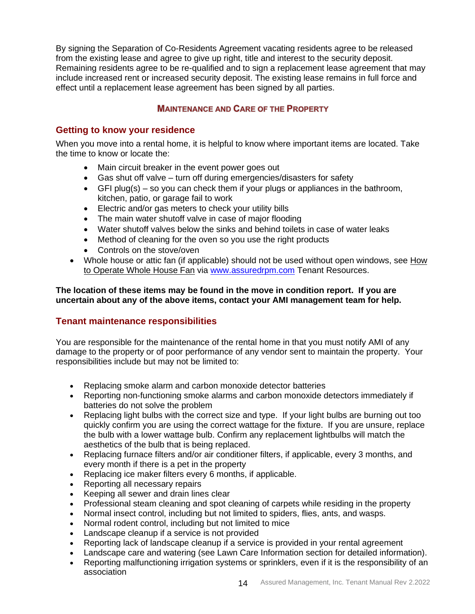By signing the Separation of Co-Residents Agreement vacating residents agree to be released from the existing lease and agree to give up right, title and interest to the security deposit. Remaining residents agree to be re-qualified and to sign a replacement lease agreement that may include increased rent or increased security deposit. The existing lease remains in full force and effect until a replacement lease agreement has been signed by all parties.

## **MAINTENANCE AND CARE OF THE PROPERTY**

## <span id="page-13-1"></span><span id="page-13-0"></span>**Getting to know your residence**

When you move into a rental home, it is helpful to know where important items are located. Take the time to know or locate the:

- Main circuit breaker in the event power goes out
- Gas shut off valve turn off during emergencies/disasters for safety
- GFI plug(s) so you can check them if your plugs or appliances in the bathroom, kitchen, patio, or garage fail to work
- Electric and/or gas meters to check your utility bills
- The main water shutoff valve in case of major flooding
- Water shutoff valves below the sinks and behind toilets in case of water leaks
- Method of cleaning for the oven so you use the right products
- Controls on the stove/oven
- Whole house or attic fan (if applicable) should not be used without open windows, see How to Operate Whole House Fan via [www.assuredrpm.com](http://www.assuredrpm.com/) Tenant Resources.

**The location of these items may be found in the move in condition report. If you are uncertain about any of the above items, contact your AMI management team for help.**

## <span id="page-13-2"></span>**Tenant maintenance responsibilities**

You are responsible for the maintenance of the rental home in that you must notify AMI of any damage to the property or of poor performance of any vendor sent to maintain the property. Your responsibilities include but may not be limited to:

- Replacing smoke alarm and carbon monoxide detector batteries
- Reporting non-functioning smoke alarms and carbon monoxide detectors immediately if batteries do not solve the problem
- Replacing light bulbs with the correct size and type. If your light bulbs are burning out too quickly confirm you are using the correct wattage for the fixture. If you are unsure, replace the bulb with a lower wattage bulb. Confirm any replacement lightbulbs will match the aesthetics of the bulb that is being replaced.
- Replacing furnace filters and/or air conditioner filters, if applicable, every 3 months, and every month if there is a pet in the property
- Replacing ice maker filters every 6 months, if applicable.
- Reporting all necessary repairs
- Keeping all sewer and drain lines clear
- Professional steam cleaning and spot cleaning of carpets while residing in the property
- Normal insect control, including but not limited to spiders, flies, ants, and wasps.
- Normal rodent control, including but not limited to mice
- Landscape cleanup if a service is not provided
- Reporting lack of landscape cleanup if a service is provided in your rental agreement
- Landscape care and watering (see Lawn Care Information section for detailed information).
- Reporting malfunctioning irrigation systems or sprinklers, even if it is the responsibility of an association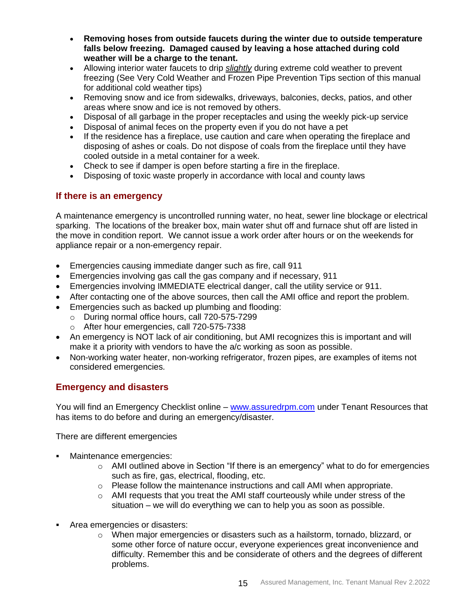- **Removing hoses from outside faucets during the winter due to outside temperature falls below freezing. Damaged caused by leaving a hose attached during cold weather will be a charge to the tenant.**
- Allowing interior water faucets to drip *slightly* during extreme cold weather to prevent freezing (See Very Cold Weather and Frozen Pipe Prevention Tips section of this manual for additional cold weather tips)
- Removing snow and ice from sidewalks, driveways, balconies, decks, patios, and other areas where snow and ice is not removed by others.
- Disposal of all garbage in the proper receptacles and using the weekly pick-up service
- Disposal of animal feces on the property even if you do not have a pet
- If the residence has a fireplace, use caution and care when operating the fireplace and disposing of ashes or coals. Do not dispose of coals from the fireplace until they have cooled outside in a metal container for a week.
- Check to see if damper is open before starting a fire in the fireplace.
- Disposing of toxic waste properly in accordance with local and county laws

## <span id="page-14-0"></span>**If there is an emergency**

A maintenance emergency is uncontrolled running water, no heat, sewer line blockage or electrical sparking. The locations of the breaker box, main water shut off and furnace shut off are listed in the move in condition report. We cannot issue a work order after hours or on the weekends for appliance repair or a non-emergency repair.

- Emergencies causing immediate danger such as fire, call 911
- Emergencies involving gas call the gas company and if necessary, 911
- Emergencies involving IMMEDIATE electrical danger, call the utility service or 911.
- After contacting one of the above sources, then call the AMI office and report the problem.
- Emergencies such as backed up plumbing and flooding:
	- o During normal office hours, call 720-575-7299
	- o After hour emergencies, call 720-575-7338
- An emergency is NOT lack of air conditioning, but AMI recognizes this is important and will make it a priority with vendors to have the a/c working as soon as possible.
- Non-working water heater, non-working refrigerator, frozen pipes, are examples of items not considered emergencies.

## <span id="page-14-1"></span>**Emergency and disasters**

You will find an Emergency Checklist online – [www.assuredrpm.com](http://www.assuredrpm.com/) under Tenant Resources that has items to do before and during an emergency/disaster.

There are different emergencies

- Maintenance emergencies:
	- $\circ$  AMI outlined above in Section "If there is an emergency" what to do for emergencies such as fire, gas, electrical, flooding, etc.
	- o Please follow the maintenance instructions and call AMI when appropriate.
	- $\circ$  AMI requests that you treat the AMI staff courteously while under stress of the situation – we will do everything we can to help you as soon as possible.
- Area emergencies or disasters:
	- $\circ$  When major emergencies or disasters such as a hailstorm, tornado, blizzard, or some other force of nature occur, everyone experiences great inconvenience and difficulty. Remember this and be considerate of others and the degrees of different problems.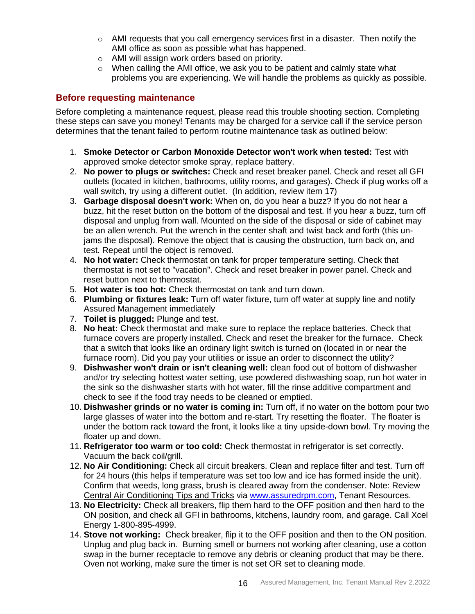- $\circ$  AMI requests that you call emergency services first in a disaster. Then notify the AMI office as soon as possible what has happened.
- o AMI will assign work orders based on priority.
- o When calling the AMI office, we ask you to be patient and calmly state what problems you are experiencing. We will handle the problems as quickly as possible.

## <span id="page-15-0"></span>**Before requesting maintenance**

Before completing a maintenance request, please read this trouble shooting section. Completing these steps can save you money! Tenants may be charged for a service call if the service person determines that the tenant failed to perform routine maintenance task as outlined below:

- 1. **Smoke Detector or Carbon Monoxide Detector won't work when tested:** Test with approved smoke detector smoke spray, replace battery.
- 2. **No power to plugs or switches:** Check and reset breaker panel. Check and reset all GFI outlets (located in kitchen, bathrooms, utility rooms, and garages). Check if plug works off a wall switch, try using a different outlet. (In addition, review item 17)
- 3. **Garbage disposal doesn't work:** When on, do you hear a buzz? If you do not hear a buzz, hit the reset button on the bottom of the disposal and test. If you hear a buzz, turn off disposal and unplug from wall. Mounted on the side of the disposal or side of cabinet may be an allen wrench. Put the wrench in the center shaft and twist back and forth (this unjams the disposal). Remove the object that is causing the obstruction, turn back on, and test. Repeat until the object is removed.
- 4. **No hot water:** Check thermostat on tank for proper temperature setting. Check that thermostat is not set to "vacation". Check and reset breaker in power panel. Check and reset button next to thermostat.
- 5. **Hot water is too hot:** Check thermostat on tank and turn down.
- 6. **Plumbing or fixtures leak:** Turn off water fixture, turn off water at supply line and notify Assured Management immediately
- 7. **Toilet is plugged:** Plunge and test.
- 8. **No heat:** Check thermostat and make sure to replace the replace batteries. Check that furnace covers are properly installed. Check and reset the breaker for the furnace. Check that a switch that looks like an ordinary light switch is turned on (located in or near the furnace room). Did you pay your utilities or issue an order to disconnect the utility?
- 9. **Dishwasher won't drain or isn't cleaning well:** clean food out of bottom of dishwasher and/or try selecting hottest water setting, use powdered dishwashing soap, run hot water in the sink so the dishwasher starts with hot water, fill the rinse additive compartment and check to see if the food tray needs to be cleaned or emptied.
- 10. **Dishwasher grinds or no water is coming in:** Turn off, if no water on the bottom pour two large glasses of water into the bottom and re-start. Try resetting the floater. The floater is under the bottom rack toward the front, it looks like a tiny upside-down bowl. Try moving the floater up and down.
- 11. **Refrigerator too warm or too cold:** Check thermostat in refrigerator is set correctly. Vacuum the back coil/grill.
- 12. **No Air Conditioning:** Check all circuit breakers. Clean and replace filter and test. Turn off for 24 hours (this helps if temperature was set too low and ice has formed inside the unit). Confirm that weeds, long grass, brush is cleared away from the condenser. Note: Review Central Air Conditioning Tips and Tricks via [www.assuredrpm.com,](http://www.assuredrpm.com/) Tenant Resources.
- 13. **No Electricity:** Check all breakers, flip them hard to the OFF position and then hard to the ON position, and check all GFI in bathrooms, kitchens, laundry room, and garage. Call Xcel Energy 1-800-895-4999.
- 14. **Stove not working:** Check breaker, flip it to the OFF position and then to the ON position. Unplug and plug back in. Burning smell or burners not working after cleaning, use a cotton swap in the burner receptacle to remove any debris or cleaning product that may be there. Oven not working, make sure the timer is not set OR set to cleaning mode.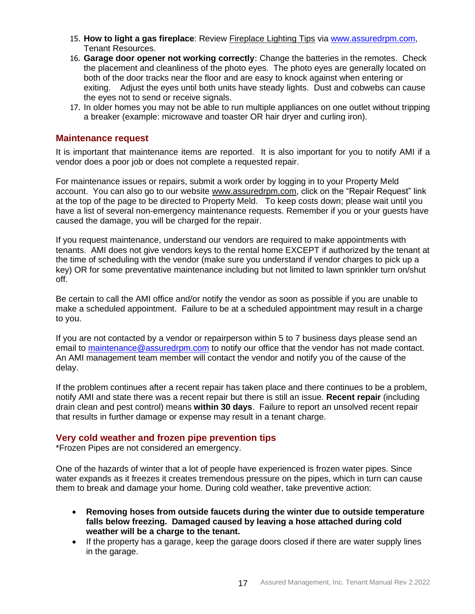- 15. **How to light a gas fireplace**: Review Fireplace Lighting Tips via [www.assuredrpm.com,](http://www.assuredrpm.com/) Tenant Resources.
- 16. **Garage door opener not working correctly**: Change the batteries in the remotes. Check the placement and cleanliness of the photo eyes. The photo eyes are generally located on both of the door tracks near the floor and are easy to knock against when entering or exiting. Adjust the eyes until both units have steady lights. Dust and cobwebs can cause the eyes not to send or receive signals.
- 17. In older homes you may not be able to run multiple appliances on one outlet without tripping a breaker (example: microwave and toaster OR hair dryer and curling iron).

#### <span id="page-16-0"></span>**Maintenance request**

It is important that maintenance items are reported. It is also important for you to notify AMI if a vendor does a poor job or does not complete a requested repair.

For maintenance issues or repairs, submit a work order by logging in to your Property Meld account. You can also go to our website [www.assuredrpm.com,](file://///ami-p01-l01.ami.local/network/Documents/Tenant/Tenant%20Manual/www.assuredrpm.com) click on the "Repair Request" link at the top of the page to be directed to Property Meld. To keep costs down; please wait until you have a list of several non-emergency maintenance requests. Remember if you or your guests have caused the damage, you will be charged for the repair.

If you request maintenance, understand our vendors are required to make appointments with tenants. AMI does not give vendors keys to the rental home EXCEPT if authorized by the tenant at the time of scheduling with the vendor (make sure you understand if vendor charges to pick up a key) OR for some preventative maintenance including but not limited to lawn sprinkler turn on/shut off.

Be certain to call the AMI office and/or notify the vendor as soon as possible if you are unable to make a scheduled appointment. Failure to be at a scheduled appointment may result in a charge to you.

If you are not contacted by a vendor or repairperson within 5 to 7 business days please send an email to [maintenance@assuredrpm.com](mailto:maintenance@assuredrpm.com) to notify our office that the vendor has not made contact. An AMI management team member will contact the vendor and notify you of the cause of the delay.

If the problem continues after a recent repair has taken place and there continues to be a problem, notify AMI and state there was a recent repair but there is still an issue. **Recent repair** (including drain clean and pest control) means **within 30 days**. Failure to report an unsolved recent repair that results in further damage or expense may result in a tenant charge.

#### <span id="page-16-1"></span>**Very cold weather and frozen pipe prevention tips**

\*Frozen Pipes are not considered an emergency.

One of the hazards of winter that a lot of people have experienced is frozen water pipes. Since water expands as it freezes it creates tremendous pressure on the pipes, which in turn can cause them to break and damage your home. During cold weather, take preventive action:

- **Removing hoses from outside faucets during the winter due to outside temperature falls below freezing. Damaged caused by leaving a hose attached during cold weather will be a charge to the tenant.**
- If the property has a garage, keep the garage doors closed if there are water supply lines in the garage.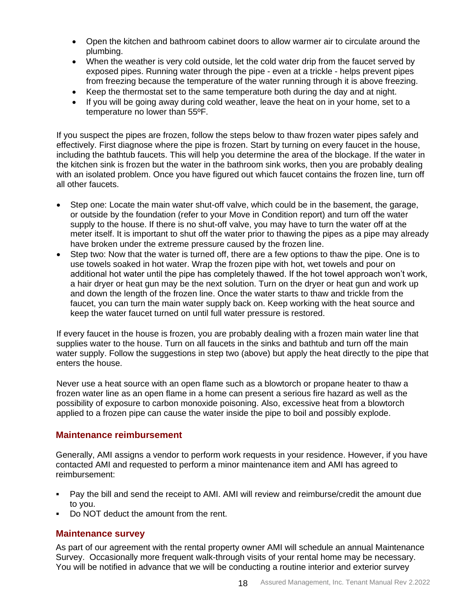- Open the kitchen and bathroom cabinet doors to allow warmer air to circulate around the plumbing.
- When the weather is very cold outside, let the cold water drip from the faucet served by exposed pipes. Running water through the pipe - even at a trickle - helps prevent pipes from freezing because the temperature of the water running through it is above freezing.
- Keep the thermostat set to the same temperature both during the day and at night.
- If you will be going away during cold weather, leave the heat on in your home, set to a temperature no lower than 55ºF.

If you suspect the pipes are frozen, follow the steps below to thaw frozen water pipes safely and effectively. First diagnose where the pipe is frozen. Start by turning on every faucet in the house, including the bathtub faucets. This will help you determine the area of the blockage. If the water in the kitchen sink is frozen but the water in the bathroom sink works, then you are probably dealing with an isolated problem. Once you have figured out which faucet contains the frozen line, turn off all other faucets.

- Step one: Locate the main water shut-off valve, which could be in the basement, the garage, or outside by the foundation (refer to your Move in Condition report) and turn off the water supply to the house. If there is no shut-off valve, you may have to turn the water off at the meter itself. It is important to shut off the water prior to thawing the pipes as a pipe may already have broken under the extreme pressure caused by the frozen line.
- Step two: Now that the water is turned off, there are a few options to thaw the pipe. One is to use towels soaked in hot water. Wrap the frozen pipe with hot, wet towels and pour on additional hot water until the pipe has completely thawed. If the hot towel approach won't work, a hair dryer or heat gun may be the next solution. Turn on the dryer or heat gun and work up and down the length of the frozen line. Once the water starts to thaw and trickle from the faucet, you can turn the main water supply back on. Keep working with the heat source and keep the water faucet turned on until full water pressure is restored.

If every faucet in the house is frozen, you are probably dealing with a frozen main water line that supplies water to the house. Turn on all faucets in the sinks and bathtub and turn off the main water supply. Follow the suggestions in step two (above) but apply the heat directly to the pipe that enters the house.

Never use a heat source with an open flame such as a blowtorch or propane heater to thaw a frozen water line as an open flame in a home can present a serious fire hazard as well as the possibility of exposure to carbon monoxide poisoning. Also, excessive heat from a blowtorch applied to a frozen pipe can cause the water inside the pipe to boil and possibly explode.

## <span id="page-17-0"></span>**Maintenance reimbursement**

Generally, AMI assigns a vendor to perform work requests in your residence. However, if you have contacted AMI and requested to perform a minor maintenance item and AMI has agreed to reimbursement:

- Pay the bill and send the receipt to AMI. AMI will review and reimburse/credit the amount due to you.
- Do NOT deduct the amount from the rent.

## <span id="page-17-1"></span>**Maintenance survey**

As part of our agreement with the rental property owner AMI will schedule an annual Maintenance Survey. Occasionally more frequent walk-through visits of your rental home may be necessary. You will be notified in advance that we will be conducting a routine interior and exterior survey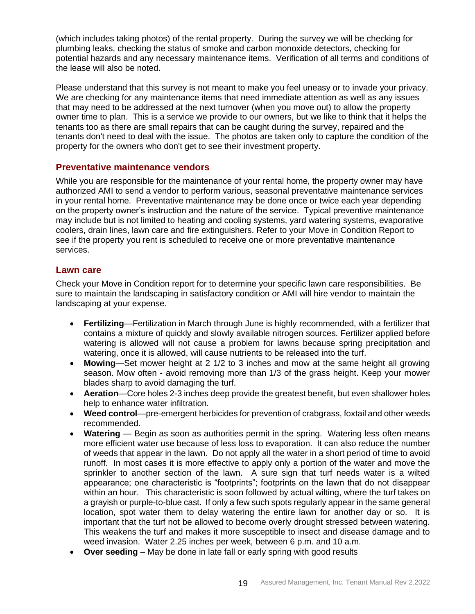(which includes taking photos) of the rental property. During the survey we will be checking for plumbing leaks, checking the status of smoke and carbon monoxide detectors, checking for potential hazards and any necessary maintenance items. Verification of all terms and conditions of the lease will also be noted.

Please understand that this survey is not meant to make you feel uneasy or to invade your privacy. We are checking for any maintenance items that need immediate attention as well as any issues that may need to be addressed at the next turnover (when you move out) to allow the property owner time to plan. This is a service we provide to our owners, but we like to think that it helps the tenants too as there are small repairs that can be caught during the survey, repaired and the tenants don't need to deal with the issue. The photos are taken only to capture the condition of the property for the owners who don't get to see their investment property.

#### <span id="page-18-0"></span>**Preventative maintenance vendors**

While you are responsible for the maintenance of your rental home, the property owner may have authorized AMI to send a vendor to perform various, seasonal preventative maintenance services in your rental home. Preventative maintenance may be done once or twice each year depending on the property owner's instruction and the nature of the service. Typical preventive maintenance may include but is not limited to heating and cooling systems, yard watering systems, evaporative coolers, drain lines, lawn care and fire extinguishers. Refer to your Move in Condition Report to see if the property you rent is scheduled to receive one or more preventative maintenance services.

#### <span id="page-18-1"></span>**Lawn care**

Check your Move in Condition report for to determine your specific lawn care responsibilities. Be sure to maintain the landscaping in satisfactory condition or AMI will hire vendor to maintain the landscaping at your expense.

- **Fertilizing**—Fertilization in March through June is highly recommended, with a fertilizer that contains a mixture of quickly and slowly available nitrogen sources. Fertilizer applied before watering is allowed will not cause a problem for lawns because spring precipitation and watering, once it is allowed, will cause nutrients to be released into the turf.
- **Mowing**—Set mower height at 2 1/2 to 3 inches and mow at the same height all growing season. Mow often - avoid removing more than 1/3 of the grass height. Keep your mower blades sharp to avoid damaging the turf.
- **Aeration**—Core holes 2-3 inches deep provide the greatest benefit, but even shallower holes help to enhance water infiltration.
- **Weed control**—pre-emergent herbicides for prevention of crabgrass, foxtail and other weeds recommended.
- Watering Begin as soon as authorities permit in the spring. Watering less often means more efficient water use because of less loss to evaporation. It can also reduce the number of weeds that appear in the lawn. Do not apply all the water in a short period of time to avoid runoff. In most cases it is more effective to apply only a portion of the water and move the sprinkler to another section of the lawn. A sure sign that turf needs water is a wilted appearance; one characteristic is "footprints"; footprints on the lawn that do not disappear within an hour. This characteristic is soon followed by actual wilting, where the turf takes on a grayish or purple-to-blue cast. If only a few such spots regularly appear in the same general location, spot water them to delay watering the entire lawn for another day or so. It is important that the turf not be allowed to become overly drought stressed between watering. This weakens the turf and makes it more susceptible to insect and disease damage and to weed invasion. Water 2.25 inches per week, between 6 p.m. and 10 a.m.
- **Over seeding**  May be done in late fall or early spring with good results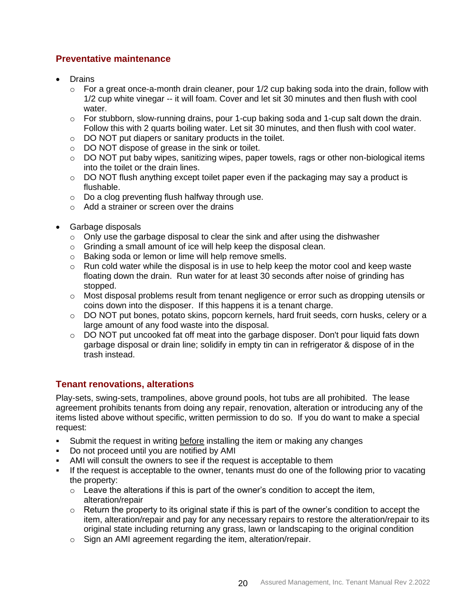## <span id="page-19-0"></span>**Preventative maintenance**

- Drains
	- $\circ$  For a great once-a-month drain cleaner, pour 1/2 cup baking soda into the drain, follow with 1/2 cup white vinegar -- it will foam. Cover and let sit 30 minutes and then flush with cool water.
	- $\circ$  For stubborn, slow-running drains, pour 1-cup baking soda and 1-cup salt down the drain. Follow this with 2 quarts boiling water. Let sit 30 minutes, and then flush with cool water.
	- o DO NOT put diapers or sanitary products in the toilet.
	- o DO NOT dispose of grease in the sink or toilet.
	- $\circ$  DO NOT put baby wipes, sanitizing wipes, paper towels, rags or other non-biological items into the toilet or the drain lines.
	- $\circ$  DO NOT flush anything except toilet paper even if the packaging may say a product is flushable.
	- o Do a clog preventing flush halfway through use.
	- o Add a strainer or screen over the drains
- Garbage disposals
	- $\circ$  Only use the garbage disposal to clear the sink and after using the dishwasher
	- o Grinding a small amount of ice will help keep the disposal clean.
	- o Baking soda or lemon or lime will help remove smells.
	- $\circ$  Run cold water while the disposal is in use to help keep the motor cool and keep waste floating down the drain. Run water for at least 30 seconds after noise of grinding has stopped.
	- $\circ$  Most disposal problems result from tenant negligence or error such as dropping utensils or coins down into the disposer. If this happens it is a tenant charge.
	- o DO NOT put bones, potato skins, popcorn kernels, hard fruit seeds, corn husks, celery or a large amount of any food waste into the disposal.
	- $\circ$  DO NOT put uncooked fat off meat into the garbage disposer. Don't pour liquid fats down garbage disposal or drain line; solidify in empty tin can in refrigerator & dispose of in the trash instead.

# <span id="page-19-1"></span>**Tenant renovations, alterations**

Play-sets, swing-sets, trampolines, above ground pools, hot tubs are all prohibited. The lease agreement prohibits tenants from doing any repair, renovation, alteration or introducing any of the items listed above without specific, written permission to do so. If you do want to make a special request:

- Submit the request in writing before installing the item or making any changes
- Do not proceed until you are notified by AMI
- AMI will consult the owners to see if the request is acceptable to them
- If the request is acceptable to the owner, tenants must do one of the following prior to vacating the property:
	- $\circ$  Leave the alterations if this is part of the owner's condition to accept the item, alteration/repair
	- $\circ$  Return the property to its original state if this is part of the owner's condition to accept the item, alteration/repair and pay for any necessary repairs to restore the alteration/repair to its original state including returning any grass, lawn or landscaping to the original condition
	- o Sign an AMI agreement regarding the item, alteration/repair.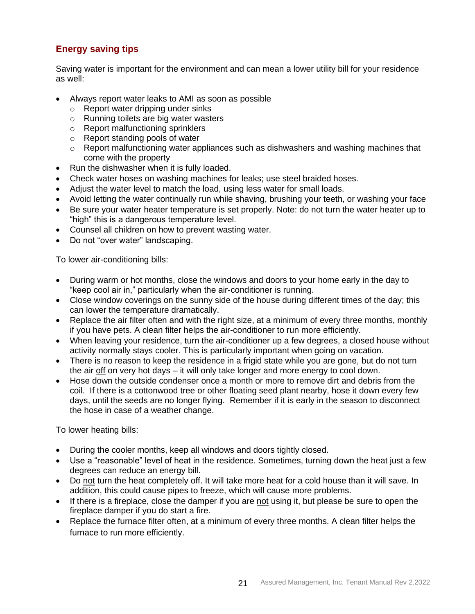# <span id="page-20-0"></span>**Energy saving tips**

Saving water is important for the environment and can mean a lower utility bill for your residence as well:

- Always report water leaks to AMI as soon as possible
	- o Report water dripping under sinks
	- o Running toilets are big water wasters
	- o Report malfunctioning sprinklers
	- o Report standing pools of water
	- o Report malfunctioning water appliances such as dishwashers and washing machines that come with the property
- Run the dishwasher when it is fully loaded.
- Check water hoses on washing machines for leaks; use steel braided hoses.
- Adjust the water level to match the load, using less water for small loads.
- Avoid letting the water continually run while shaving, brushing your teeth, or washing your face
- Be sure your water heater temperature is set properly. Note: do not turn the water heater up to "high" this is a dangerous temperature level.
- Counsel all children on how to prevent wasting water.
- Do not "over water" landscaping.

To lower air-conditioning bills:

- During warm or hot months, close the windows and doors to your home early in the day to "keep cool air in," particularly when the air-conditioner is running.
- Close window coverings on the sunny side of the house during different times of the day; this can lower the temperature dramatically.
- Replace the air filter often and with the right size, at a minimum of every three months, monthly if you have pets. A clean filter helps the air-conditioner to run more efficiently.
- When leaving your residence, turn the air-conditioner up a few degrees, a closed house without activity normally stays cooler. This is particularly important when going on vacation.
- There is no reason to keep the residence in a frigid state while you are gone, but do not turn the air  $\frac{df}{dx}$  on very hot days – it will only take longer and more energy to cool down.
- Hose down the outside condenser once a month or more to remove dirt and debris from the coil. If there is a cottonwood tree or other floating seed plant nearby, hose it down every few days, until the seeds are no longer flying. Remember if it is early in the season to disconnect the hose in case of a weather change.

To lower heating bills:

- During the cooler months, keep all windows and doors tightly closed.
- Use a "reasonable" level of heat in the residence. Sometimes, turning down the heat just a few degrees can reduce an energy bill.
- Do not turn the heat completely off. It will take more heat for a cold house than it will save. In addition, this could cause pipes to freeze, which will cause more problems.
- If there is a fireplace, close the damper if you are not using it, but please be sure to open the fireplace damper if you do start a fire.
- Replace the furnace filter often, at a minimum of every three months. A clean filter helps the furnace to run more efficiently.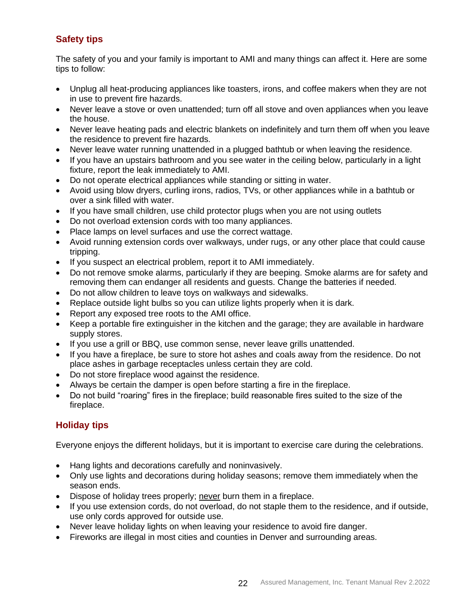# <span id="page-21-0"></span>**Safety tips**

The safety of you and your family is important to AMI and many things can affect it. Here are some tips to follow:

- Unplug all heat-producing appliances like toasters, irons, and coffee makers when they are not in use to prevent fire hazards.
- Never leave a stove or oven unattended; turn off all stove and oven appliances when you leave the house.
- Never leave heating pads and electric blankets on indefinitely and turn them off when you leave the residence to prevent fire hazards.
- Never leave water running unattended in a plugged bathtub or when leaving the residence.
- If you have an upstairs bathroom and you see water in the ceiling below, particularly in a light fixture, report the leak immediately to AMI.
- Do not operate electrical appliances while standing or sitting in water.
- Avoid using blow dryers, curling irons, radios, TVs, or other appliances while in a bathtub or over a sink filled with water.
- If you have small children, use child protector plugs when you are not using outlets
- Do not overload extension cords with too many appliances.
- Place lamps on level surfaces and use the correct wattage.
- Avoid running extension cords over walkways, under rugs, or any other place that could cause tripping.
- If you suspect an electrical problem, report it to AMI immediately.
- Do not remove smoke alarms, particularly if they are beeping. Smoke alarms are for safety and removing them can endanger all residents and guests. Change the batteries if needed.
- Do not allow children to leave toys on walkways and sidewalks.
- Replace outside light bulbs so you can utilize lights properly when it is dark.
- Report any exposed tree roots to the AMI office.
- Keep a portable fire extinguisher in the kitchen and the garage; they are available in hardware supply stores.
- If you use a grill or BBQ, use common sense, never leave grills unattended.
- If you have a fireplace, be sure to store hot ashes and coals away from the residence. Do not place ashes in garbage receptacles unless certain they are cold.
- Do not store fireplace wood against the residence.
- Always be certain the damper is open before starting a fire in the fireplace.
- Do not build "roaring" fires in the fireplace; build reasonable fires suited to the size of the fireplace.

# <span id="page-21-1"></span>**Holiday tips**

Everyone enjoys the different holidays, but it is important to exercise care during the celebrations.

- Hang lights and decorations carefully and noninvasively.
- Only use lights and decorations during holiday seasons; remove them immediately when the season ends.
- Dispose of holiday trees properly; never burn them in a fireplace.
- If you use extension cords, do not overload, do not staple them to the residence, and if outside, use only cords approved for outside use.
- Never leave holiday lights on when leaving your residence to avoid fire danger.
- Fireworks are illegal in most cities and counties in Denver and surrounding areas.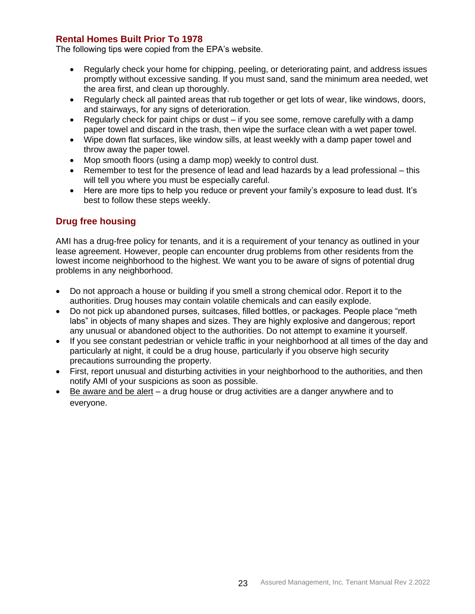## <span id="page-22-0"></span>**Rental Homes Built Prior To 1978**

The following tips were copied from the EPA's website.

- Regularly check your home for chipping, peeling, or deteriorating paint, and address issues promptly without excessive sanding. If you must sand, sand the minimum area needed, wet the area first, and clean up thoroughly.
- Regularly check all painted areas that rub together or get lots of wear, like windows, doors, and stairways, for any signs of deterioration.
- Regularly check for paint chips or dust if you see some, remove carefully with a damp paper towel and discard in the trash, then wipe the surface clean with a wet paper towel.
- Wipe down flat surfaces, like window sills, at least weekly with a damp paper towel and throw away the paper towel.
- Mop smooth floors (using a damp mop) weekly to control dust.
- Remember to test for the presence of lead and lead hazards by a lead professional this will tell you where you must be especially careful.
- Here are more tips to help you reduce or prevent your family's exposure to lead dust. It's best to follow these steps weekly.

## <span id="page-22-1"></span>**Drug free housing**

AMI has a drug-free policy for tenants, and it is a requirement of your tenancy as outlined in your lease agreement. However, people can encounter drug problems from other residents from the lowest income neighborhood to the highest. We want you to be aware of signs of potential drug problems in any neighborhood.

- Do not approach a house or building if you smell a strong chemical odor. Report it to the authorities. Drug houses may contain volatile chemicals and can easily explode.
- Do not pick up abandoned purses, suitcases, filled bottles, or packages. People place "meth labs" in objects of many shapes and sizes. They are highly explosive and dangerous; report any unusual or abandoned object to the authorities. Do not attempt to examine it yourself.
- If you see constant pedestrian or vehicle traffic in your neighborhood at all times of the day and particularly at night, it could be a drug house, particularly if you observe high security precautions surrounding the property.
- First, report unusual and disturbing activities in your neighborhood to the authorities, and then notify AMI of your suspicions as soon as possible.
- Be aware and be alert a drug house or drug activities are a danger anywhere and to everyone.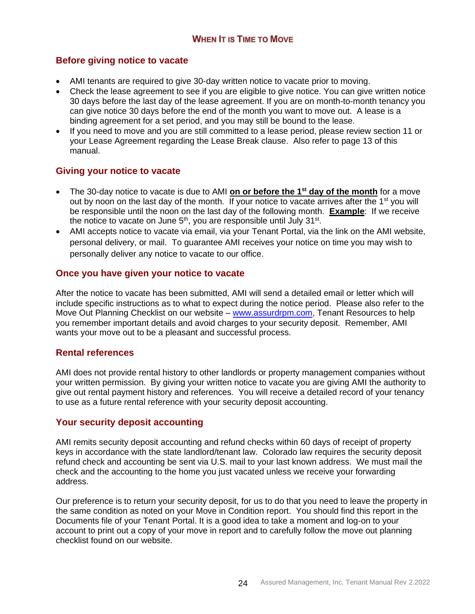# <span id="page-23-1"></span><span id="page-23-0"></span>**Before giving notice to vacate**

- AMI tenants are required to give 30-day written notice to vacate prior to moving.
- Check the lease agreement to see if you are eligible to give notice. You can give written notice 30 days before the last day of the lease agreement. If you are on month-to-month tenancy you can give notice 30 days before the end of the month you want to move out. A lease is a binding agreement for a set period, and you may still be bound to the lease.
- If you need to move and you are still committed to a lease period, please review section 11 or your Lease Agreement regarding the Lease Break clause. Also refer to page 13 of this manual.

## <span id="page-23-2"></span>**Giving your notice to vacate**

- The 30-day notice to vacate is due to AMI **on or before the 1st day of the month** for a move out by noon on the last day of the month. If your notice to vacate arrives after the 1<sup>st</sup> you will be responsible until the noon on the last day of the following month. **Example**: If we receive the notice to vacate on June  $5<sup>th</sup>$ , you are responsible until July 31<sup>st</sup>.
- AMI accepts notice to vacate via email, via your Tenant Portal, via the link on the AMI website, personal delivery, or mail. To guarantee AMI receives your notice on time you may wish to personally deliver any notice to vacate to our office.

## <span id="page-23-3"></span>**Once you have given your notice to vacate**

After the notice to vacate has been submitted, AMI will send a detailed email or letter which will include specific instructions as to what to expect during the notice period. Please also refer to the Move Out Planning Checklist on our website – [www.assurdrpm.com,](http://www.assurdrpm.com/) Tenant Resources to help you remember important details and avoid charges to your security deposit. Remember, AMI wants your move out to be a pleasant and successful process.

#### <span id="page-23-4"></span>**Rental references**

AMI does not provide rental history to other landlords or property management companies without your written permission. By giving your written notice to vacate you are giving AMI the authority to give out rental payment history and references. You will receive a detailed record of your tenancy to use as a future rental reference with your security deposit accounting.

## <span id="page-23-5"></span>**Your security deposit accounting**

AMI remits security deposit accounting and refund checks within 60 days of receipt of property keys in accordance with the state landlord/tenant law. Colorado law requires the security deposit refund check and accounting be sent via U.S. mail to your last known address. We must mail the check and the accounting to the home you just vacated unless we receive your forwarding address.

Our preference is to return your security deposit, for us to do that you need to leave the property in the same condition as noted on your Move in Condition report. You should find this report in the Documents file of your Tenant Portal. It is a good idea to take a moment and log-on to your account to print out a copy of your move in report and to carefully follow the move out planning checklist found on our website.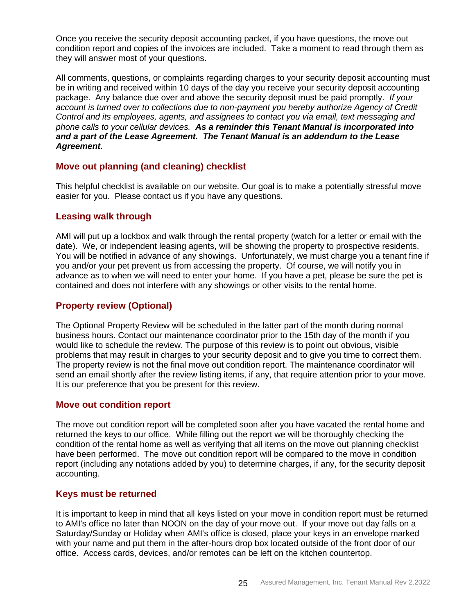Once you receive the security deposit accounting packet, if you have questions, the move out condition report and copies of the invoices are included. Take a moment to read through them as they will answer most of your questions.

All comments, questions, or complaints regarding charges to your security deposit accounting must be in writing and received within 10 days of the day you receive your security deposit accounting package. Any balance due over and above the security deposit must be paid promptly. *If your account is turned over to collections due to non-payment you hereby authorize Agency of Credit Control and its employees, agents, and assignees to contact you via email, text messaging and phone calls to your cellular devices. As a reminder this Tenant Manual is incorporated into and a part of the Lease Agreement. The Tenant Manual is an addendum to the Lease Agreement.*

## <span id="page-24-0"></span>**Move out planning (and cleaning) checklist**

This helpful checklist is available on our website. Our goal is to make a potentially stressful move easier for you. Please contact us if you have any questions.

#### <span id="page-24-1"></span>**Leasing walk through**

AMI will put up a lockbox and walk through the rental property (watch for a letter or email with the date). We, or independent leasing agents, will be showing the property to prospective residents. You will be notified in advance of any showings. Unfortunately, we must charge you a tenant fine if you and/or your pet prevent us from accessing the property. Of course, we will notify you in advance as to when we will need to enter your home. If you have a pet, please be sure the pet is contained and does not interfere with any showings or other visits to the rental home.

#### <span id="page-24-2"></span>**Property review (Optional)**

The Optional Property Review will be scheduled in the latter part of the month during normal business hours. Contact our maintenance coordinator prior to the 15th day of the month if you would like to schedule the review. The purpose of this review is to point out obvious, visible problems that may result in charges to your security deposit and to give you time to correct them. The property review is not the final move out condition report. The maintenance coordinator will send an email shortly after the review listing items, if any, that require attention prior to your move. It is our preference that you be present for this review.

#### <span id="page-24-3"></span>**Move out condition report**

The move out condition report will be completed soon after you have vacated the rental home and returned the keys to our office. While filling out the report we will be thoroughly checking the condition of the rental home as well as verifying that all items on the move out planning checklist have been performed. The move out condition report will be compared to the move in condition report (including any notations added by you) to determine charges, if any, for the security deposit accounting.

#### <span id="page-24-4"></span>**Keys must be returned**

It is important to keep in mind that all keys listed on your move in condition report must be returned to AMI's office no later than NOON on the day of your move out. If your move out day falls on a Saturday/Sunday or Holiday when AMI's office is closed, place your keys in an envelope marked with your name and put them in the after-hours drop box located outside of the front door of our office. Access cards, devices, and/or remotes can be left on the kitchen countertop.